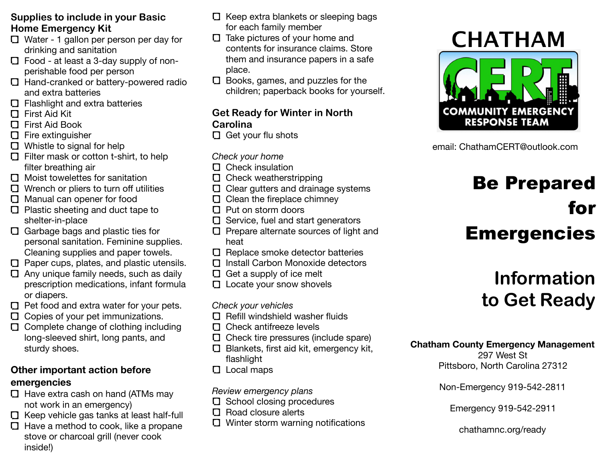### **Supplies to include in your Basic Home Emergency Kit**

- Water 1 gallon per person per day for drinking and sanitation
- Food at least a 3-day supply of nonperishable food per person
- Hand-cranked or battery-powered radio and extra batteries
- □ Flashlight and extra batteries
- First Aid Kit
- First Aid Book
- $\Box$  Fire extinguisher
- **D** Whistle to signal for help
- $\Box$  Filter mask or cotton t-shirt, to help filter breathing air
- Moist towelettes for sanitation
- $\Box$  Wrench or pliers to turn off utilities
- **D** Manual can opener for food
- $\Box$  Plastic sheeting and duct tape to shelter-in-place
- Garbage bags and plastic ties for personal sanitation. Feminine supplies. Cleaning supplies and paper towels.
- $\Box$  Paper cups, plates, and plastic utensils.
- $\Box$  Any unique family needs, such as daily prescription medications, infant formula or diapers.
- $\Box$  Pet food and extra water for your pets.
- $\Box$  Copies of your pet immunizations.
- Complete change of clothing including long-sleeved shirt, long pants, and sturdy shoes.

## **Other important action before emergencies**

- $\Box$  Have extra cash on hand (ATMs may not work in an emergency)
- $\Box$  Keep vehicle gas tanks at least half-full
- $\Box$  Have a method to cook, like a propane stove or charcoal grill (never cook inside!)
- $\Box$  Keep extra blankets or sleeping bags for each family member
- $\square$  Take pictures of your home and contents for insurance claims. Store them and insurance papers in a safe place.
- $\Box$  Books, games, and puzzles for the children; paperback books for yourself.

## **Get Ready for Winter in North Carolina**

 $\Box$  Get your flu shots

## *Check your home*

- $\Box$  Check insulation
- $\square$  Check weatherstripping
- $\Box$  Clear gutters and drainage systems
- $\Box$  Clean the fireplace chimney
- $\Box$  Put on storm doors
- $\Box$  Service, fuel and start generators
- $\Box$  Prepare alternate sources of light and heat
- $\square$  Replace smoke detector batteries
- Install Carbon Monoxide detectors
- $\Box$  Get a supply of ice melt
- **L** Locate your snow shovels

### *Check your vehicles*

- $\square$  Refill windshield washer fluids
- $\Box$  Check antifreeze levels
- $\Box$  Check tire pressures (include spare)
- Blankets, first aid kit, emergency kit, flashlight
- **L** Local maps

## *Review emergency plans*

- **O** School closing procedures
- $\square$  Road closure alerts
- $\Box$  Winter storm warning notifications

# **CHATHAM**



email: ChathamCERT@outlook.com

# Be Prepared for Emergencies

## **Information to Get Ready**

## **Chatham County Emergency Management**

297 West St Pittsboro, North Carolina 27312

Non-Emergency 919-542-2811

Emergency 919-542-2911

chathamnc.org/ready